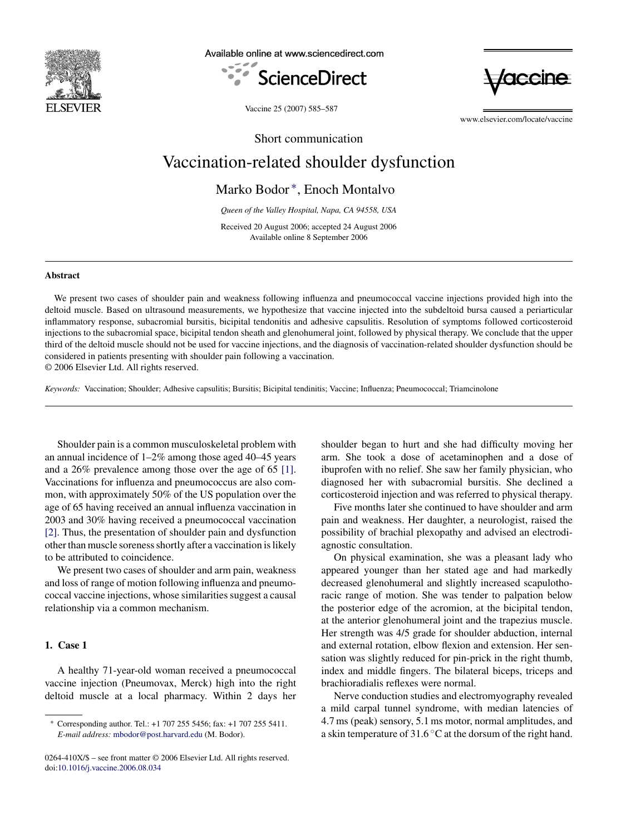

Available online at www.sciencedirect.com





Vaccine 25 (2007) 585–587

www.elsevier.com/locate/vaccine

Short communication

# Vaccination-related shoulder dysfunction

Marko Bodor ∗, Enoch Montalvo

*Queen of the Valley Hospital, Napa, CA 94558, USA*

Received 20 August 2006; accepted 24 August 2006 Available online 8 September 2006

#### **Abstract**

We present two cases of shoulder pain and weakness following influenza and pneumococcal vaccine injections provided high into the deltoid muscle. Based on ultrasound measurements, we hypothesize that vaccine injected into the subdeltoid bursa caused a periarticular inflammatory response, subacromial bursitis, bicipital tendonitis and adhesive capsulitis. Resolution of symptoms followed corticosteroid injections to the subacromial space, bicipital tendon sheath and glenohumeral joint, followed by physical therapy. We conclude that the upper third of the deltoid muscle should not be used for vaccine injections, and the diagnosis of vaccination-related shoulder dysfunction should be considered in patients presenting with shoulder pain following a vaccination.

© 2006 Elsevier Ltd. All rights reserved.

*Keywords:* Vaccination; Shoulder; Adhesive capsulitis; Bursitis; Bicipital tendinitis; Vaccine; Influenza; Pneumococcal; Triamcinolone

Shoulder pain is a common musculoskeletal problem with an annual incidence of 1–2% among those aged 40–45 years and a 26% prevalence among those over the age of 65 [\[1\].](#page-2-0) Vaccinations for influenza and pneumococcus are also common, with approximately 50% of the US population over the age of 65 having received an annual influenza vaccination in 2003 and 30% having received a pneumococcal vaccination [\[2\].](#page-2-0) Thus, the presentation of shoulder pain and dysfunction other than muscle soreness shortly after a vaccination is likely to be attributed to coincidence.

We present two cases of shoulder and arm pain, weakness and loss of range of motion following influenza and pneumococcal vaccine injections, whose similarities suggest a causal relationship via a common mechanism.

# **1. Case 1**

A healthy 71-year-old woman received a pneumococcal vaccine injection (Pneumovax, Merck) high into the right deltoid muscle at a local pharmacy. Within 2 days her shoulder began to hurt and she had difficulty moving her arm. She took a dose of acetaminophen and a dose of ibuprofen with no relief. She saw her family physician, who diagnosed her with subacromial bursitis. She declined a corticosteroid injection and was referred to physical therapy.

Five months later she continued to have shoulder and arm pain and weakness. Her daughter, a neurologist, raised the possibility of brachial plexopathy and advised an electrodiagnostic consultation.

On physical examination, she was a pleasant lady who appeared younger than her stated age and had markedly decreased glenohumeral and slightly increased scapulothoracic range of motion. She was tender to palpation below the posterior edge of the acromion, at the bicipital tendon, at the anterior glenohumeral joint and the trapezius muscle. Her strength was 4/5 grade for shoulder abduction, internal and external rotation, elbow flexion and extension. Her sensation was slightly reduced for pin-prick in the right thumb, index and middle fingers. The bilateral biceps, triceps and brachioradialis reflexes were normal.

Nerve conduction studies and electromyography revealed a mild carpal tunnel syndrome, with median latencies of 4.7 ms (peak) sensory, 5.1 ms motor, normal amplitudes, and a skin temperature of 31.6 ◦C at the dorsum of the right hand.

<sup>∗</sup> Corresponding author. Tel.: +1 707 255 5456; fax: +1 707 255 5411. *E-mail address:* [mbodor@post.harvard.edu](mailto:mbodor@post.harvard.edu) (M. Bodor).

<sup>0264-410</sup>X/\$ – see front matter © 2006 Elsevier Ltd. All rights reserved. doi[:10.1016/j.vaccine.2006.08.034](dx.doi.org/10.1016/j.vaccine.2006.08.034)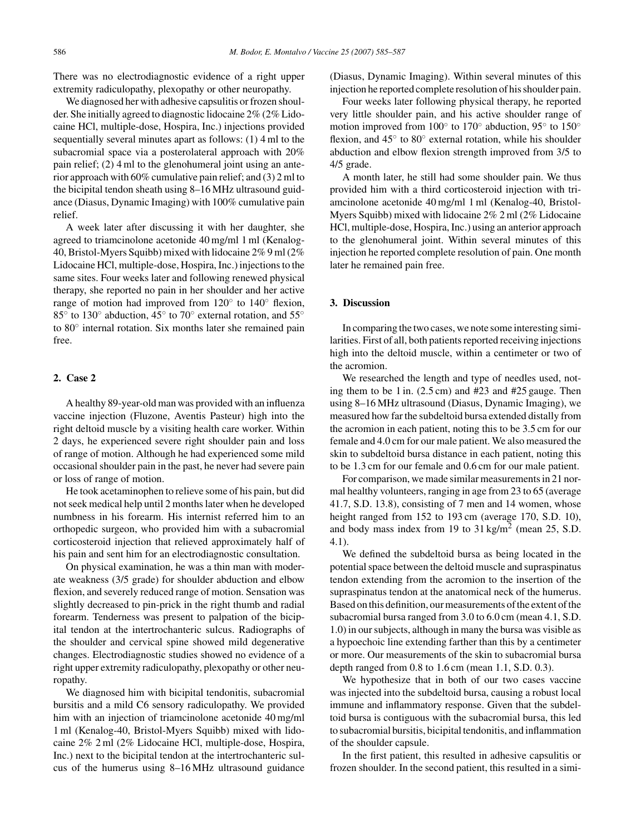There was no electrodiagnostic evidence of a right upper extremity radiculopathy, plexopathy or other neuropathy.

We diagnosed her with adhesive capsulitis or frozen shoulder. She initially agreed to diagnostic lidocaine 2% (2% Lidocaine HCl, multiple-dose, Hospira, Inc.) injections provided sequentially several minutes apart as follows: (1) 4 ml to the subacromial space via a posterolateral approach with 20% pain relief; (2) 4 ml to the glenohumeral joint using an anterior approach with 60% cumulative pain relief; and (3) 2 ml to the bicipital tendon sheath using 8–16 MHz ultrasound guidance (Diasus, Dynamic Imaging) with 100% cumulative pain relief.

A week later after discussing it with her daughter, she agreed to triamcinolone acetonide 40 mg/ml 1 ml (Kenalog-40, Bristol-Myers Squibb) mixed with lidocaine 2% 9 ml (2% Lidocaine HCl, multiple-dose, Hospira, Inc.) injections to the same sites. Four weeks later and following renewed physical therapy, she reported no pain in her shoulder and her active range of motion had improved from 120◦ to 140◦ flexion, 85◦ to 130◦ abduction, 45◦ to 70◦ external rotation, and 55◦ to 80◦ internal rotation. Six months later she remained pain free.

## **2. Case 2**

A healthy 89-year-old man was provided with an influenza vaccine injection (Fluzone, Aventis Pasteur) high into the right deltoid muscle by a visiting health care worker. Within 2 days, he experienced severe right shoulder pain and loss of range of motion. Although he had experienced some mild occasional shoulder pain in the past, he never had severe pain or loss of range of motion.

He took acetaminophen to relieve some of his pain, but did not seek medical help until 2 months later when he developed numbness in his forearm. His internist referred him to an orthopedic surgeon, who provided him with a subacromial corticosteroid injection that relieved approximately half of his pain and sent him for an electrodiagnostic consultation.

On physical examination, he was a thin man with moderate weakness (3/5 grade) for shoulder abduction and elbow flexion, and severely reduced range of motion. Sensation was slightly decreased to pin-prick in the right thumb and radial forearm. Tenderness was present to palpation of the bicipital tendon at the intertrochanteric sulcus. Radiographs of the shoulder and cervical spine showed mild degenerative changes. Electrodiagnostic studies showed no evidence of a right upper extremity radiculopathy, plexopathy or other neuropathy.

We diagnosed him with bicipital tendonitis, subacromial bursitis and a mild C6 sensory radiculopathy. We provided him with an injection of triamcinolone acetonide 40 mg/ml 1 ml (Kenalog-40, Bristol-Myers Squibb) mixed with lidocaine 2% 2 ml (2% Lidocaine HCl, multiple-dose, Hospira, Inc.) next to the bicipital tendon at the intertrochanteric sulcus of the humerus using 8–16 MHz ultrasound guidance

(Diasus, Dynamic Imaging). Within several minutes of this injection he reported complete resolution of his shoulder pain.

Four weeks later following physical therapy, he reported very little shoulder pain, and his active shoulder range of motion improved from 100◦ to 170◦ abduction, 95◦ to 150◦ flexion, and 45◦ to 80◦ external rotation, while his shoulder abduction and elbow flexion strength improved from 3/5 to 4/5 grade.

A month later, he still had some shoulder pain. We thus provided him with a third corticosteroid injection with triamcinolone acetonide 40 mg/ml 1 ml (Kenalog-40, Bristol-Myers Squibb) mixed with lidocaine 2% 2 ml (2% Lidocaine HCl, multiple-dose, Hospira, Inc.) using an anterior approach to the glenohumeral joint. Within several minutes of this injection he reported complete resolution of pain. One month later he remained pain free.

## **3. Discussion**

In comparing the two cases, we note some interesting similarities. First of all, both patients reported receiving injections high into the deltoid muscle, within a centimeter or two of the acromion.

We researched the length and type of needles used, noting them to be 1 in. (2.5 cm) and #23 and #25 gauge. Then using 8–16 MHz ultrasound (Diasus, Dynamic Imaging), we measured how far the subdeltoid bursa extended distally from the acromion in each patient, noting this to be 3.5 cm for our female and 4.0 cm for our male patient. We also measured the skin to subdeltoid bursa distance in each patient, noting this to be 1.3 cm for our female and 0.6 cm for our male patient.

For comparison, we made similar measurements in 21 normal healthy volunteers, ranging in age from 23 to 65 (average 41.7, S.D. 13.8), consisting of 7 men and 14 women, whose height ranged from 152 to 193 cm (average 170, S.D. 10), and body mass index from 19 to  $31 \text{ kg/m}^2$  (mean 25, S.D. 4.1).

We defined the subdeltoid bursa as being located in the potential space between the deltoid muscle and supraspinatus tendon extending from the acromion to the insertion of the supraspinatus tendon at the anatomical neck of the humerus. Based on this definition, our measurements of the extent of the subacromial bursa ranged from 3.0 to 6.0 cm (mean 4.1, S.D. 1.0) in our subjects, although in many the bursa was visible as a hypoechoic line extending farther than this by a centimeter or more. Our measurements of the skin to subacromial bursa depth ranged from 0.8 to 1.6 cm (mean 1.1, S.D. 0.3).

We hypothesize that in both of our two cases vaccine was injected into the subdeltoid bursa, causing a robust local immune and inflammatory response. Given that the subdeltoid bursa is contiguous with the subacromial bursa, this led to subacromial bursitis, bicipital tendonitis, and inflammation of the shoulder capsule.

In the first patient, this resulted in adhesive capsulitis or frozen shoulder. In the second patient, this resulted in a simi